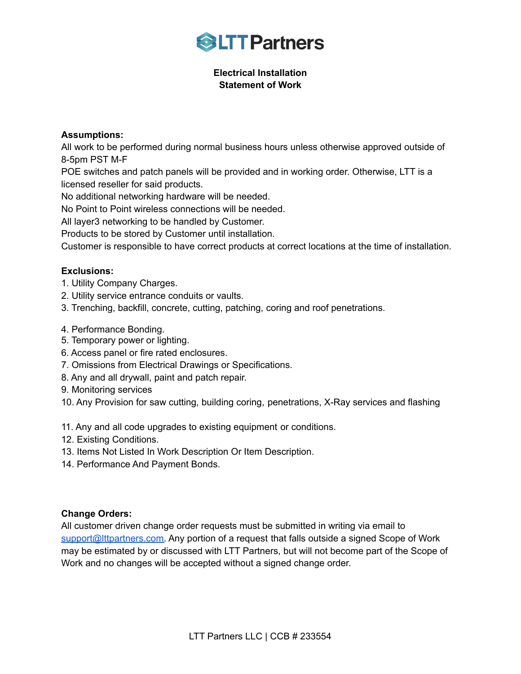

## **Electrical Installation Statement of Work**

## **Assumptions:**

All work to be performed during normal business hours unless otherwise approved outside of 8-5pm PST M-F

POE switches and patch panels will be provided and in working order. Otherwise, LTT is a licensed reseller for said products.

No additional networking hardware will be needed.

No Point to Point wireless connections will be needed.

All layer3 networking to be handled by Customer.

Products to be stored by Customer until installation.

Customer is responsible to have correct products at correct locations at the time of installation.

## **Exclusions:**

- 1. Utility Company Charges.
- 2. Utility service entrance conduits or vaults.
- 3. Trenching, backfill, concrete, cutting, patching, coring and roof penetrations.
- 4. Performance Bonding.
- 5. Temporary power or lighting.
- 6. Access panel or fire rated enclosures.
- 7. Omissions from Electrical Drawings or Specifications.
- 8. Any and all drywall, paint and patch repair.
- 9. Monitoring services
- 10. Any Provision for saw cutting, building coring, penetrations, X-Ray services and flashing

11. Any and all code upgrades to existing equipment or conditions.

- 12. Existing Conditions.
- 13. Items Not Listed In Work Description Or Item Description.
- 14. Performance And Payment Bonds.

## **Change Orders:**

All customer driven change order requests must be submitted in writing via email to [support@lttpartners.com.](mailto:support@lttpartners.com) Any portion of a request that falls outside a signed Scope of Work may be estimated by or discussed with LTT Partners, but will not become part of the Scope of Work and no changes will be accepted without a signed change order.